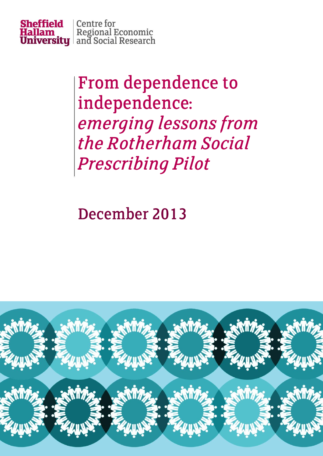

# From dependence to independence: emerging lessons from the Rotherham Social **Prescribing Pilot**

December 2013

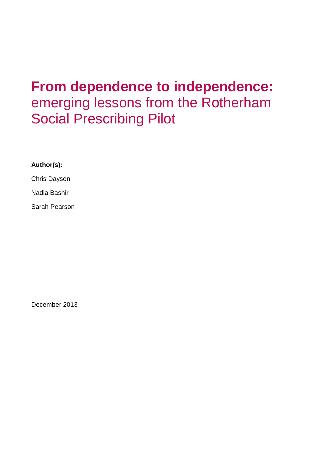## **From dependence to independence:**  emerging lessons from the Rotherham Social Prescribing Pilot

## **Author(s):**

Chris Dayson

Nadia Bashir

Sarah Pearson

December 2013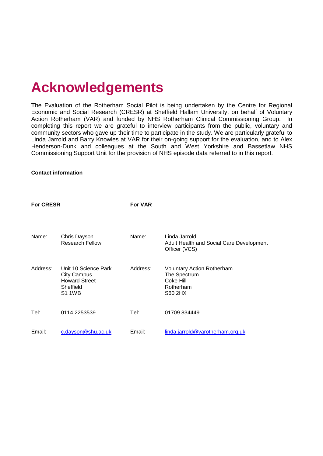## **Acknowledgements**

The Evaluation of the Rotherham Social Pilot is being undertaken by the Centre for Regional Economic and Social Research (CRESR) at Sheffield Hallam University, on behalf of Voluntary Action Rotherham (VAR) and funded by NHS Rotherham Clinical Commissioning Group. In completing this report we are grateful to interview participants from the public, voluntary and community sectors who gave up their time to participate in the study. We are particularly grateful to Linda Jarrold and Barry Knowles at VAR for their on-going support for the evaluation, and to Alex Henderson-Dunk and colleagues at the South and West Yorkshire and Bassetlaw NHS Commissioning Support Unit for the provision of NHS episode data referred to in this report.

#### **Contact information**

| <b>For CRESR</b> |                                                                                                  | <b>For VAR</b> |                                                                                               |
|------------------|--------------------------------------------------------------------------------------------------|----------------|-----------------------------------------------------------------------------------------------|
| Name:            | Chris Dayson<br><b>Research Fellow</b>                                                           | Name:          | Linda Jarrold<br>Adult Health and Social Care Development<br>Officer (VCS)                    |
| Address:         | Unit 10 Science Park<br><b>City Campus</b><br><b>Howard Street</b><br>Sheffield<br><b>S1 1WB</b> | Address:       | <b>Voluntary Action Rotherham</b><br>The Spectrum<br>Coke Hill<br>Rotherham<br><b>S60 2HX</b> |
| Tel:             | 0114 2253539                                                                                     | Tel:           | 01709 834449                                                                                  |
| Email:           | c.dayson@shu.ac.uk                                                                               | Email:         | linda.jarrold@varotherham.org.uk                                                              |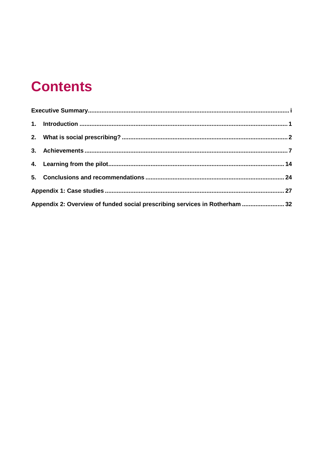## **Contents**

| Appendix 2: Overview of funded social prescribing services in Rotherham  32 |  |
|-----------------------------------------------------------------------------|--|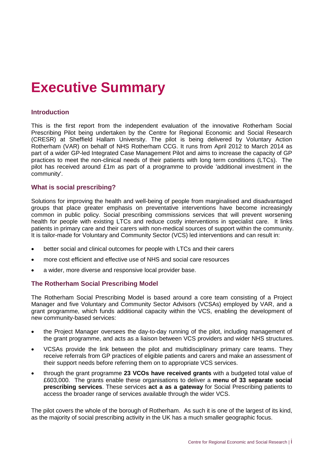## <span id="page-4-0"></span>**Executive Summary**

#### **Introduction**

This is the first report from the independent evaluation of the innovative Rotherham Social Prescribing Pilot being undertaken by the Centre for Regional Economic and Social Research (CRESR) at Sheffield Hallam University. The pilot is being delivered by Voluntary Action Rotherham (VAR) on behalf of NHS Rotherham CCG. It runs from April 2012 to March 2014 as part of a wider GP-led Integrated Case Management Pilot and aims to increase the capacity of GP practices to meet the non-clinical needs of their patients with long term conditions (LTCs). The pilot has received around £1m as part of a programme to provide 'additional investment in the community'.

#### **What is social prescribing?**

Solutions for improving the health and well-being of people from marginalised and disadvantaged groups that place greater emphasis on preventative interventions have become increasingly common in public policy. Social prescribing commissions services that will prevent worsening health for people with existing LTCs and reduce costly interventions in specialist care. It links patients in primary care and their carers with non-medical sources of support within the community. It is tailor-made for Voluntary and Community Sector (VCS) led interventions and can result in:

- better social and clinical outcomes for people with LTCs and their carers
- more cost efficient and effective use of NHS and social care resources
- a wider, more diverse and responsive local provider base.

#### **The Rotherham Social Prescribing Model**

The Rotherham Social Prescribing Model is based around a core team consisting of a Project Manager and five Voluntary and Community Sector Advisors (VCSAs) employed by VAR, and a grant programme, which funds additional capacity within the VCS, enabling the development of new community-based services:

- the Project Manager oversees the day-to-day running of the pilot, including management of the grant programme, and acts as a liaison between VCS providers and wider NHS structures.
- VCSAs provide the link between the pilot and multidisciplinary primary care teams. They receive referrals from GP practices of eligible patients and carers and make an assessment of their support needs before referring them on to appropriate VCS services.
- through the grant programme **23 VCOs have received grants** with a budgeted total value of £603,000. The grants enable these organisations to deliver a **menu of 33 separate social prescribing services**. These services **act a as a gateway** for Social Prescribing patients to access the broader range of services available through the wider VCS.

The pilot covers the whole of the borough of Rotherham. As such it is one of the largest of its kind, as the majority of social prescribing activity in the UK has a much smaller geographic focus.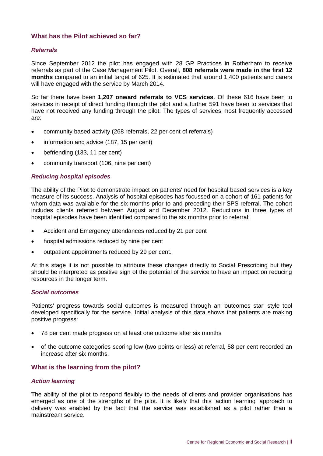#### **What has the Pilot achieved so far?**

#### *Referrals*

Since September 2012 the pilot has engaged with 28 GP Practices in Rotherham to receive referrals as part of the Case Management Pilot. Overall, **808 referrals were made in the first 12 months** compared to an initial target of 625. It is estimated that around 1,400 patients and carers will have engaged with the service by March 2014.

So far there have been **1,207 onward referrals to VCS services**. Of these 616 have been to services in receipt of direct funding through the pilot and a further 591 have been to services that have not received any funding through the pilot. The types of services most frequently accessed are:

- community based activity (268 referrals, 22 per cent of referrals)
- information and advice (187, 15 per cent)
- befriending (133, 11 per cent)
- community transport (106, nine per cent)

#### *Reducing hospital episodes*

The ability of the Pilot to demonstrate impact on patients' need for hospital based services is a key measure of its success. Analysis of hospital episodes has focussed on a cohort of 161 patients for whom data was available for the six months prior to and preceding their SPS referral. The cohort includes clients referred between August and December 2012. Reductions in three types of hospital episodes have been identified compared to the six months prior to referral:

- Accident and Emergency attendances reduced by 21 per cent
- hospital admissions reduced by nine per cent
- outpatient appointments reduced by 29 per cent.

At this stage it is not possible to attribute these changes directly to Social Prescribing but they should be interpreted as positive sign of the potential of the service to have an impact on reducing resources in the longer term.

#### *Social outcomes*

Patients' progress towards social outcomes is measured through an 'outcomes star' style tool developed specifically for the service. Initial analysis of this data shows that patients are making positive progress:

- 78 per cent made progress on at least one outcome after six months
- of the outcome categories scoring low (two points or less) at referral, 58 per cent recorded an increase after six months.

#### **What is the learning from the pilot?**

#### *Action learning*

The ability of the pilot to respond flexibly to the needs of clients and provider organisations has emerged as one of the strengths of the pilot. It is likely that this 'action learning' approach to delivery was enabled by the fact that the service was established as a pilot rather than a mainstream service.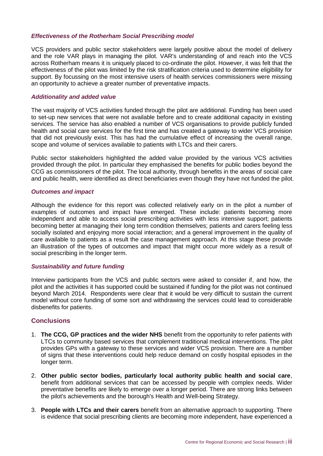#### *Effectiveness of the Rotherham Social Prescribing model*

VCS providers and public sector stakeholders were largely positive about the model of delivery and the role VAR plays in managing the pilot. VAR's understanding of and reach into the VCS across Rotherham means it is uniquely placed to co-ordinate the pilot. However, it was felt that the effectiveness of the pilot was limited by the risk stratification criteria used to determine eligibility for support. By focussing on the most intensive users of health services commissioners were missing an opportunity to achieve a greater number of preventative impacts.

#### *Additionality and added value*

The vast majority of VCS activities funded through the pilot are additional. Funding has been used to set-up new services that were not available before and to create additional capacity in existing services. The service has also enabled a number of VCS organisations to provide publicly funded health and social care services for the first time and has created a gateway to wider VCS provision that did not previously exist. This has had the cumulative effect of increasing the overall range, scope and volume of services available to patients with LTCs and their carers.

Public sector stakeholders highlighted the added value provided by the various VCS activities provided through the pilot. In particular they emphasised the benefits for public bodies beyond the CCG as commissioners of the pilot. The local authority, through benefits in the areas of social care and public health, were identified as direct beneficiaries even though they have not funded the pilot.

#### *Outcomes and impact*

Although the evidence for this report was collected relatively early on in the pilot a number of examples of outcomes and impact have emerged. These include: patients becoming more independent and able to access social prescribing activities with less intensive support; patients becoming better at managing their long term condition themselves; patients and carers feeling less socially isolated and enjoying more social interaction; and a general improvement in the quality of care available to patients as a result the case management approach. At this stage these provide an illustration of the types of outcomes and impact that might occur more widely as a result of social prescribing in the longer term.

#### *Sustainability and future funding*

Interview participants from the VCS and public sectors were asked to consider if, and how, the pilot and the activities it has supported could be sustained if funding for the pilot was not continued beyond March 2014. Respondents were clear that it would be very difficult to sustain the current model without core funding of some sort and withdrawing the services could lead to considerable disbenefits for patients.

#### **Conclusions**

- 1. **The CCG, GP practices and the wider NHS** benefit from the opportunity to refer patients with LTCs to community based services that complement traditional medical interventions. The pilot provides GPs with a gateway to these services and wider VCS provision. There are a number of signs that these interventions could help reduce demand on costly hospital episodes in the longer term.
- 2. **Other public sector bodies, particularly local authority public health and social care**, benefit from additional services that can be accessed by people with complex needs. Wider preventative benefits are likely to emerge over a longer period. There are strong links between the pilot's achievements and the borough's Health and Well-being Strategy.
- 3. **People with LTCs and their carers** benefit from an alternative approach to supporting. There is evidence that social prescribing clients are becoming more independent, have experienced a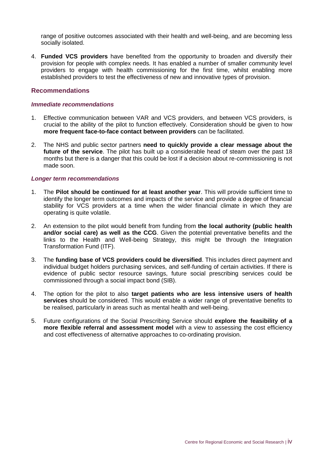range of positive outcomes associated with their health and well-being, and are becoming less socially isolated.

4. **Funded VCS providers** have benefited from the opportunity to broaden and diversify their provision for people with complex needs. It has enabled a number of smaller community level providers to engage with health commissioning for the first time, whilst enabling more established providers to test the effectiveness of new and innovative types of provision.

#### **Recommendations**

#### *Immediate recommendations*

- 1. Effective communication between VAR and VCS providers, and between VCS providers, is crucial to the ability of the pilot to function effectively. Consideration should be given to how **more frequent face-to-face contact between providers** can be facilitated.
- 2. The NHS and public sector partners **need to quickly provide a clear message about the future of the service**. The pilot has built up a considerable head of steam over the past 18 months but there is a danger that this could be lost if a decision about re-commissioning is not made soon.

#### *Longer term recommendations*

- 1. The **Pilot should be continued for at least another year**. This will provide sufficient time to identify the longer term outcomes and impacts of the service and provide a degree of financial stability for VCS providers at a time when the wider financial climate in which they are operating is quite volatile.
- 2. An extension to the pilot would benefit from funding from **the local authority (public health and/or social care) as well as the CCG**. Given the potential preventative benefits and the links to the Health and Well-being Strategy, this might be through the Integration Transformation Fund (ITF).
- 3. The **funding base of VCS providers could be diversified**. This includes direct payment and individual budget holders purchasing services, and self-funding of certain activities. If there is evidence of public sector resource savings, future social prescribing services could be commissioned through a social impact bond (SIB).
- 4. The option for the pilot to also **target patients who are less intensive users of health services** should be considered. This would enable a wider range of preventative benefits to be realised, particularly in areas such as mental health and well-being.
- 5. Future configurations of the Social Prescribing Service should **explore the feasibility of a more flexible referral and assessment model** with a view to assessing the cost efficiency and cost effectiveness of alternative approaches to co-ordinating provision.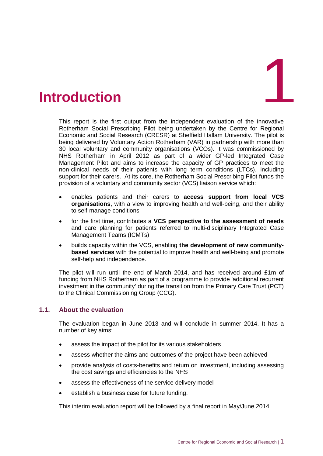<span id="page-8-0"></span>

This report is the first output from the independent evaluation of the innovative Rotherham Social Prescribing Pilot being undertaken by the Centre for Regional Economic and Social Research (CRESR) at Sheffield Hallam University. The pilot is being delivered by Voluntary Action Rotherham (VAR) in partnership with more than 30 local voluntary and community organisations (VCOs). It was commissioned by NHS Rotherham in April 2012 as part of a wider GP-led Integrated Case Management Pilot and aims to increase the capacity of GP practices to meet the non-clinical needs of their patients with long term conditions (LTCs), including support for their carers. At its core, the Rotherham Social Prescribing Pilot funds the provision of a voluntary and community sector (VCS) liaison service which:

- enables patients and their carers to **access support from local VCS organisations**, with a view to improving health and well-being, and their ability to self-manage conditions
- for the first time, contributes a **VCS perspective to the assessment of needs** and care planning for patients referred to multi-disciplinary Integrated Case Management Teams (ICMTs)
- builds capacity within the VCS, enabling **the development of new communitybased services** with the potential to improve health and well-being and promote self-help and independence.

The pilot will run until the end of March 2014, and has received around £1m of funding from NHS Rotherham as part of a programme to provide 'additional recurrent investment in the community' during the transition from the Primary Care Trust (PCT) to the Clinical Commissioning Group (CCG).

### **1.1. About the evaluation**

The evaluation began in June 2013 and will conclude in summer 2014. It has a number of key aims:

- assess the impact of the pilot for its various stakeholders
- assess whether the aims and outcomes of the project have been achieved
- provide analysis of costs-benefits and return on investment, including assessing the cost savings and efficiencies to the NHS
- assess the effectiveness of the service delivery model
- establish a business case for future funding.

This interim evaluation report will be followed by a final report in May/June 2014.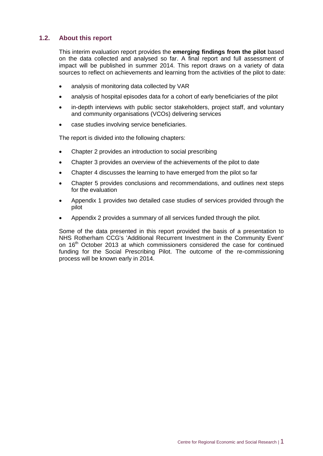### **1.2. About this report**

This interim evaluation report provides the **emerging findings from the pilot** based on the data collected and analysed so far. A final report and full assessment of impact will be published in summer 2014. This report draws on a variety of data sources to reflect on achievements and learning from the activities of the pilot to date:

- analysis of monitoring data collected by VAR
- analysis of hospital episodes data for a cohort of early beneficiaries of the pilot
- in-depth interviews with public sector stakeholders, project staff, and voluntary and community organisations (VCOs) delivering services
- case studies involving service beneficiaries.

The report is divided into the following chapters:

- Chapter 2 provides an introduction to social prescribing
- Chapter 3 provides an overview of the achievements of the pilot to date
- Chapter 4 discusses the learning to have emerged from the pilot so far
- Chapter 5 provides conclusions and recommendations, and outlines next steps for the evaluation
- Appendix 1 provides two detailed case studies of services provided through the pilot
- Appendix 2 provides a summary of all services funded through the pilot.

Some of the data presented in this report provided the basis of a presentation to NHS Rotherham CCG's 'Additional Recurrent Investment in the Community Event' on 16<sup>th</sup> October 2013 at which commissioners considered the case for continued funding for the Social Prescribing Pilot. The outcome of the re-commissioning process will be known early in 2014.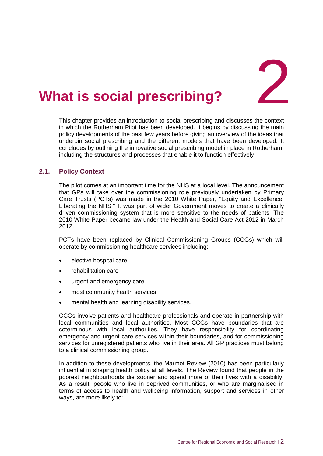2

## <span id="page-10-0"></span>2. **What is social prescribing?**

This chapter provides an introduction to social prescribing and discusses the context in which the Rotherham Pilot has been developed. It begins by discussing the main policy developments of the past few years before giving an overview of the ideas that underpin social prescribing and the different models that have been developed. It concludes by outlining the innovative social prescribing model in place in Rotherham, including the structures and processes that enable it to function effectively.

#### **2.1. Policy Context**

The pilot comes at an important time for the NHS at a local level. The announcement that GPs will take over the commissioning role previously undertaken by Primary Care Trusts (PCTs) was made in the 2010 White Paper, "Equity and Excellence: Liberating the NHS." It was part of wider Government moves to create a clinically driven commissioning system that is more sensitive to the needs of patients. The 2010 White Paper became law under the Health and Social Care Act 2012 in March 2012.

PCTs have been replaced by Clinical Commissioning Groups (CCGs) which will operate by commissioning healthcare services including:

- elective hospital care
- rehabilitation care
- urgent and emergency care
- most community health services
- mental health and learning disability services.

CCGs involve patients and healthcare professionals and operate in partnership with local communities and local authorities. Most CCGs have boundaries that are coterminous with local authorities. They have responsibility for coordinating emergency and urgent care services within their boundaries, and for commissioning services for unregistered patients who live in their area. All GP practices must belong to a clinical commissioning group.

In addition to these developments, the Marmot Review (2010) has been particularly influential in shaping health policy at all levels. The Review found that people in the poorest neighbourhoods die sooner and spend more of their lives with a disability. As a result, people who live in deprived communities, or who are marginalised in terms of access to health and wellbeing information, support and services in other ways, are more likely to: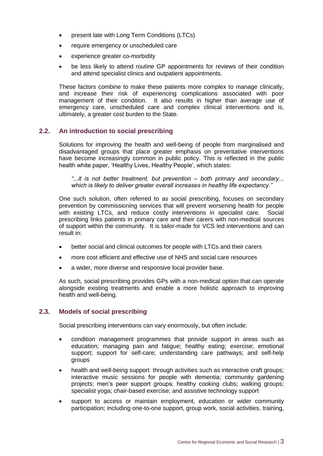- present late with Long Term Conditions (LTCs)
- require emergency or unscheduled care
- experience greater co-morbidity
- be less likely to attend routine GP appointments for reviews of their condition and attend specialist clinics and outpatient appointments.

These factors combine to make these patients more complex to manage clinically, and increase their risk of experiencing complications associated with poor management of their condition. It also results in higher than average use of emergency care, unscheduled care and complex clinical interventions and is, ultimately, a greater cost burden to the State.

#### **2.2. An introduction to social prescribing**

Solutions for improving the health and well-being of people from marginalised and disadvantaged groups that place greater emphasis on preventative interventions have become increasingly common in public policy. This is reflected in the public health white paper, 'Healthy Lives, Healthy People', which states:

*"...it is not better treatment, but prevention – both primary and secondary... which is likely to deliver greater overall increases in healthy life expectancy."* 

One such solution, often referred to as social prescribing, focuses on secondary prevention by commissioning services that will prevent worsening health for people with existing LTCs, and reduce costly interventions in specialist care. Social prescribing links patients in primary care and their carers with non-medical sources of support within the community. It is tailor-made for VCS led interventions and can result in:

- better social and clinical outcomes for people with LTCs and their carers
- more cost efficient and effective use of NHS and social care resources
- a wider, more diverse and responsive local provider base.

As such, social prescribing provides GPs with a non-medical option that can operate alongside existing treatments and enable a more holistic approach to improving health and well-being.

#### **2.3. Models of social prescribing**

Social prescribing interventions can vary enormously, but often include:

- condition management programmes that provide support in areas such as education; managing pain and fatigue; healthy eating; exercise; emotional support; support for self-care; understanding care pathways; and self-help groups
- health and well-being support through activities such as interactive craft groups; interactive music sessions for people with dementia; community gardening projects; men's peer support groups; healthy cooking clubs; walking groups; specialist yoga; chair-based exercise; and assistive technology support
- support to access or maintain employment, education or wider community participation; including one-to-one support, group work, social activities, training,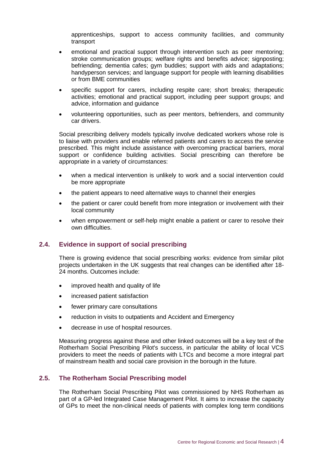apprenticeships, support to access community facilities, and community transport

- emotional and practical support through intervention such as peer mentoring; stroke communication groups; welfare rights and benefits advice; signposting; befriending; dementia cafes; gym buddies; support with aids and adaptations; handyperson services; and language support for people with learning disabilities or from BME communities
- specific support for carers, including respite care; short breaks; therapeutic activities; emotional and practical support, including peer support groups; and advice, information and guidance
- volunteering opportunities, such as peer mentors, befrienders, and community car drivers.

Social prescribing delivery models typically involve dedicated workers whose role is to liaise with providers and enable referred patients and carers to access the service prescribed. This might include assistance with overcoming practical barriers, moral support or confidence building activities. Social prescribing can therefore be appropriate in a variety of circumstances:

- when a medical intervention is unlikely to work and a social intervention could be more appropriate
- the patient appears to need alternative ways to channel their energies
- the patient or carer could benefit from more integration or involvement with their local community
- when empowerment or self-help might enable a patient or carer to resolve their own difficulties.

### **2.4. Evidence in support of social prescribing**

There is growing evidence that social prescribing works: evidence from similar pilot projects undertaken in the UK suggests that real changes can be identified after 18- 24 months. Outcomes include:

- improved health and quality of life
- increased patient satisfaction
- fewer primary care consultations
- reduction in visits to outpatients and Accident and Emergency
- decrease in use of hospital resources.

Measuring progress against these and other linked outcomes will be a key test of the Rotherham Social Prescribing Pilot's success, in particular the ability of local VCS providers to meet the needs of patients with LTCs and become a more integral part of mainstream health and social care provision in the borough in the future.

#### **2.5. The Rotherham Social Prescribing model**

The Rotherham Social Prescribing Pilot was commissioned by NHS Rotherham as part of a GP-led Integrated Case Management Pilot. It aims to increase the capacity of GPs to meet the non-clinical needs of patients with complex long term conditions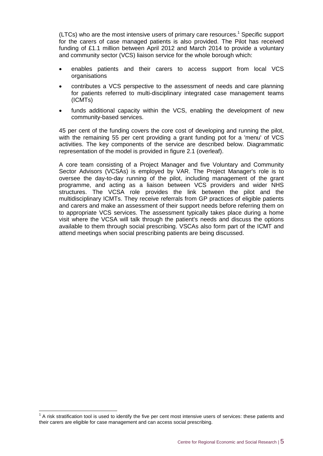(LTCs) who are the most intensive users of primary care resources. <sup>1</sup> Specific support for the carers of case managed patients is also provided. The Pilot has received funding of £1.1 million between April 2012 and March 2014 to provide a voluntary and community sector (VCS) liaison service for the whole borough which:

- enables patients and their carers to access support from local VCS organisations
- contributes a VCS perspective to the assessment of needs and care planning for patients referred to multi-disciplinary integrated case management teams (ICMTs)
- funds additional capacity within the VCS, enabling the development of new community-based services.

45 per cent of the funding covers the core cost of developing and running the pilot, with the remaining 55 per cent providing a grant funding pot for a 'menu' of VCS activities. The key components of the service are described below. Diagrammatic representation of the model is provided in figure 2.1 (overleaf).

A core team consisting of a Project Manager and five Voluntary and Community Sector Advisors (VCSAs) is employed by VAR. The Project Manager's role is to oversee the day-to-day running of the pilot, including management of the grant programme, and acting as a liaison between VCS providers and wider NHS structures. The VCSA role provides the link between the pilot and the multidisciplinary ICMTs. They receive referrals from GP practices of eligible patients and carers and make an assessment of their support needs before referring them on to appropriate VCS services. The assessment typically takes place during a home visit where the VCSA will talk through the patient's needs and discuss the options available to them through social prescribing. VSCAs also form part of the ICMT and attend meetings when social prescribing patients are being discussed.

-

 $1$  A risk stratification tool is used to identify the five per cent most intensive users of services: these patients and their carers are eligible for case management and can access social prescribing.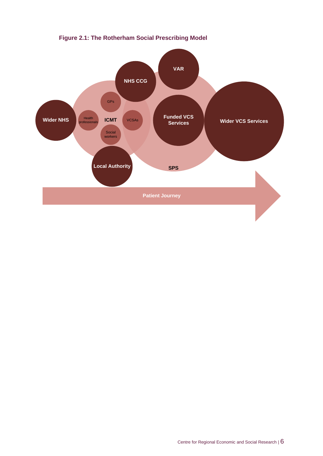

**Figure 2.1: The Rotherham Social Prescribing Model**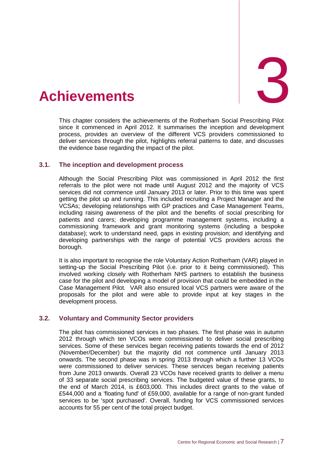<span id="page-15-0"></span>

This chapter considers the achievements of the Rotherham Social Prescribing Pilot since it commenced in April 2012. It summarises the inception and development process, provides an overview of the different VCS providers commissioned to deliver services through the pilot, highlights referral patterns to date, and discusses the evidence base regarding the impact of the pilot.

#### **3.1. The inception and development process**

Although the Social Prescribing Pilot was commissioned in April 2012 the first referrals to the pilot were not made until August 2012 and the majority of VCS services did not commence until January 2013 or later. Prior to this time was spent getting the pilot up and running. This included recruiting a Project Manager and the VCSAs; developing relationships with GP practices and Case Management Teams, including raising awareness of the pilot and the benefits of social prescribing for patients and carers; developing programme management systems, including a commissioning framework and grant monitoring systems (including a bespoke database); work to understand need, gaps in existing provision; and identifying and developing partnerships with the range of potential VCS providers across the borough.

It is also important to recognise the role Voluntary Action Rotherham (VAR) played in setting-up the Social Prescribing Pilot (i.e. prior to it being commissioned). This involved working closely with Rotherham NHS partners to establish the business case for the pilot and developing a model of provision that could be embedded in the Case Management Pilot. VAR also ensured local VCS partners were aware of the proposals for the pilot and were able to provide input at key stages in the development process.

#### **3.2. Voluntary and Community Sector providers**

The pilot has commissioned services in two phases. The first phase was in autumn 2012 through which ten VCOs were commissioned to deliver social prescribing services. Some of these services began receiving patients towards the end of 2012 (November/December) but the majority did not commence until January 2013 onwards. The second phase was in spring 2013 through which a further 13 VCOs were commissioned to deliver services. These services began receiving patients from June 2013 onwards. Overall 23 VCOs have received grants to deliver a menu of 33 separate social prescribing services. The budgeted value of these grants, to the end of March 2014, is £603,000. This includes direct grants to the value of £544,000 and a 'floating fund' of £59,000, available for a range of non-grant funded services to be 'spot purchased'. Overall, funding for VCS commissioned services accounts for 55 per cent of the total project budget.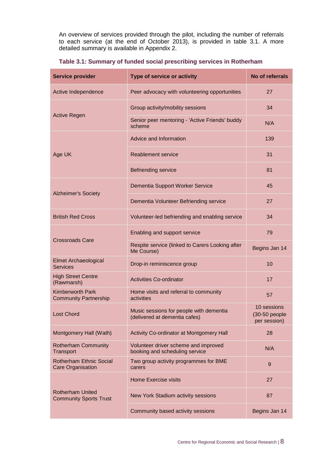An overview of services provided through the pilot, including the number of referrals to each service (at the end of October 2013), is provided in table 3.1. A more detailed summary is available in Appendix 2.

| <b>Service provider</b>                                    | Type of service or activity                                              | No of referrals                                |
|------------------------------------------------------------|--------------------------------------------------------------------------|------------------------------------------------|
| Active Independence                                        | Peer advocacy with volunteering opportunities                            | 27                                             |
|                                                            | Group activity/mobility sessions                                         | 34                                             |
| <b>Active Regen</b>                                        | Senior peer mentoring - 'Active Friends' buddy<br>scheme                 | N/A                                            |
|                                                            | Advice and Information                                                   | 139                                            |
| Age UK                                                     | <b>Reablement service</b>                                                | 31                                             |
|                                                            | <b>Befriending service</b>                                               | 81                                             |
| <b>Alzheimer's Society</b>                                 | Dementia Support Worker Service                                          | 45                                             |
|                                                            | Dementia Volunteer Befriending service                                   | 27                                             |
| <b>British Red Cross</b>                                   | Volunteer-led befriending and enabling service                           | 34                                             |
|                                                            | Enabling and support service                                             | 79                                             |
| <b>Crossroads Care</b>                                     | Respite service (linked to Carers Looking after<br>Me Course)            | Begins Jan 14                                  |
| <b>Elmet Archaeological</b><br><b>Services</b>             | Drop-in reminiscence group                                               | 10                                             |
| <b>High Street Centre</b><br>(Rawmarsh)                    | <b>Activities Co-ordinator</b>                                           | 17                                             |
| <b>Kimberworth Park</b><br><b>Community Partnership</b>    | Home visits and referral to community<br>activities                      | 57                                             |
| <b>Lost Chord</b>                                          | Music sessions for people with dementia<br>(delivered at dementia cafes) | 10 sessions<br>$(30-50$ people<br>per session) |
| Montgomery Hall (Wath)                                     | Activity Co-ordinator at Montgomery Hall                                 |                                                |
| <b>Rotherham Community</b><br>Transport                    | Volunteer driver scheme and improved<br>booking and scheduling service   | N/A                                            |
| <b>Rotherham Ethnic Social</b><br><b>Care Organisation</b> | Two group activity programmes for BME<br>carers                          | 9                                              |
|                                                            | <b>Home Exercise visits</b>                                              | 27                                             |
| <b>Rotherham United</b><br><b>Community Sports Trust</b>   | New York Stadium activity sessions                                       | 87                                             |
|                                                            | Community based activity sessions                                        | Begins Jan 14                                  |

#### **Table 3.1: Summary of funded social prescribing services in Rotherham**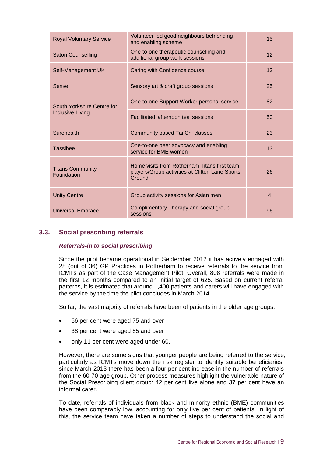| <b>Royal Voluntary Service</b>                                          | Volunteer-led good neighbours befriending<br>and enabling scheme                                          | 15             |
|-------------------------------------------------------------------------|-----------------------------------------------------------------------------------------------------------|----------------|
| <b>Satori Counselling</b>                                               | One-to-one therapeutic counselling and<br>additional group work sessions                                  | 12             |
| Self-Management UK                                                      | Caring with Confidence course                                                                             | 13             |
| Sense                                                                   | Sensory art & craft group sessions                                                                        | 25             |
| South Yorkshire Centre for                                              | One-to-one Support Worker personal service                                                                | 82             |
| <b>Inclusive Living</b>                                                 | Facilitated 'afternoon tea' sessions                                                                      | 50             |
| Surehealth                                                              | Community based Tai Chi classes                                                                           | 23             |
| <b>Tassibee</b>                                                         | One-to-one peer advocacy and enabling<br>service for BME women                                            | 13             |
| <b>Titans Community</b><br>Foundation                                   | Home visits from Rotherham Titans first team<br>players/Group activities at Clifton Lane Sports<br>Ground | 26             |
| <b>Unity Centre</b>                                                     | Group activity sessions for Asian men                                                                     | $\overline{4}$ |
| Complimentary Therapy and social group<br>Universal Embrace<br>sessions |                                                                                                           | 96             |

### **3.3. Social prescribing referrals**

#### *Referrals-in to social prescribing*

Since the pilot became operational in September 2012 it has actively engaged with 28 (out of 36) GP Practices in Rotherham to receive referrals to the service from ICMTs as part of the Case Management Pilot. Overall, 808 referrals were made in the first 12 months compared to an initial target of 625. Based on current referral patterns, it is estimated that around 1,400 patients and carers will have engaged with the service by the time the pilot concludes in March 2014.

So far, the vast majority of referrals have been of patients in the older age groups:

- 66 per cent were aged 75 and over
- 38 per cent were aged 85 and over
- only 11 per cent were aged under 60.

However, there are some signs that younger people are being referred to the service, particularly as ICMTs move down the risk register to identify suitable beneficiaries: since March 2013 there has been a four per cent increase in the number of referrals from the 60-70 age group. Other process measures highlight the vulnerable nature of the Social Prescribing client group: 42 per cent live alone and 37 per cent have an informal carer.

To date, referrals of individuals from black and minority ethnic (BME) communities have been comparably low, accounting for only five per cent of patients. In light of this, the service team have taken a number of steps to understand the social and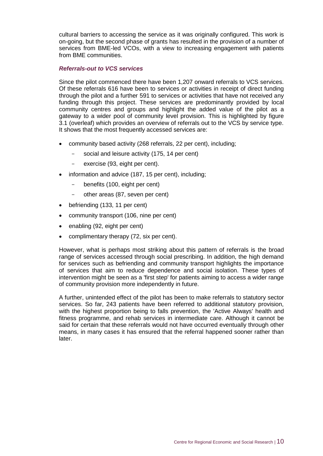cultural barriers to accessing the service as it was originally configured. This work is on-going, but the second phase of grants has resulted in the provision of a number of services from BME-led VCOs, with a view to increasing engagement with patients from BME communities.

#### *Referrals-out to VCS services*

Since the pilot commenced there have been 1,207 onward referrals to VCS services. Of these referrals 616 have been to services or activities in receipt of direct funding through the pilot and a further 591 to services or activities that have not received any funding through this project. These services are predominantly provided by local community centres and groups and highlight the added value of the pilot as a gateway to a wider pool of community level provision. This is highlighted by figure 3.1 (overleaf) which provides an overview of referrals out to the VCS by service type. It shows that the most frequently accessed services are:

- community based activity (268 referrals, 22 per cent), including;
	- social and leisure activity (175, 14 per cent)
	- exercise (93, eight per cent).
- information and advice (187, 15 per cent), including;
	- benefits (100, eight per cent)
	- other areas (87, seven per cent)
- befriending (133, 11 per cent)
- community transport (106, nine per cent)
- enabling (92, eight per cent)
- complimentary therapy (72, six per cent).

However, what is perhaps most striking about this pattern of referrals is the broad range of services accessed through social prescribing. In addition, the high demand for services such as befriending and community transport highlights the importance of services that aim to reduce dependence and social isolation. These types of intervention might be seen as a 'first step' for patients aiming to access a wider range of community provision more independently in future.

A further, unintended effect of the pilot has been to make referrals to statutory sector services. So far, 243 patients have been referred to additional statutory provision, with the highest proportion being to falls prevention, the 'Active Always' health and fitness programme, and rehab services in intermediate care. Although it cannot be said for certain that these referrals would not have occurred eventually through other means, in many cases it has ensured that the referral happened sooner rather than later.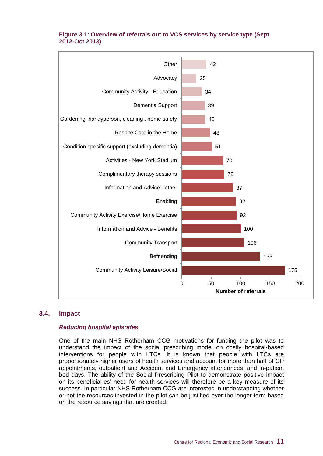

#### **Figure 3.1: Overview of referrals out to VCS services by service type (Sept 2012-Oct 2013)**

#### **3.4. Impact**

#### *Reducing hospital episodes*

One of the main NHS Rotherham CCG motivations for funding the pilot was to understand the impact of the social prescribing model on costly hospital-based interventions for people with LTCs. It is known that people with LTCs are proportionately higher users of health services and account for more than half of GP appointments, outpatient and Accident and Emergency attendances, and in-patient bed days. The ability of the Social Prescribing Pilot to demonstrate positive impact on its beneficiaries' need for health services will therefore be a key measure of its success. In particular NHS Rotherham CCG are interested in understanding whether or not the resources invested in the pilot can be justified over the longer term based on the resource savings that are created.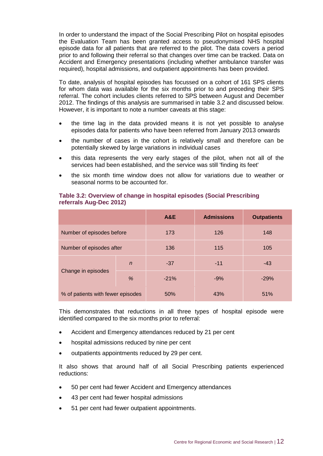In order to understand the impact of the Social Prescribing Pilot on hospital episodes the Evaluation Team has been granted access to pseudonymised NHS hospital episode data for all patients that are referred to the pilot. The data covers a period prior to and following their referral so that changes over time can be tracked. Data on Accident and Emergency presentations (including whether ambulance transfer was required), hospital admissions, and outpatient appointments has been provided.

To date, analysis of hospital episodes has focussed on a cohort of 161 SPS clients for whom data was available for the six months prior to and preceding their SPS referral. The cohort includes clients referred to SPS between August and December 2012. The findings of this analysis are summarised in table 3.2 and discussed below. However, it is important to note a number caveats at this stage:

- the time lag in the data provided means it is not yet possible to analyse episodes data for patients who have been referred from January 2013 onwards
- the number of cases in the cohort is relatively small and therefore can be potentially skewed by large variations in individual cases
- this data represents the very early stages of the pilot, when not all of the services had been established, and the service was still 'finding its feet'
- the six month time window does not allow for variations due to weather or seasonal norms to be accounted for.

|                                   |              | A&E    | <b>Admissions</b> | <b>Outpatients</b> |
|-----------------------------------|--------------|--------|-------------------|--------------------|
| Number of episodes before         |              | 173    | 126               | 148                |
| Number of episodes after          |              | 136    | 115               | 105                |
|                                   | $\mathsf{n}$ | $-37$  | $-11$             | $-43$              |
| Change in episodes                | $\%$         | $-21%$ | $-9%$             | $-29%$             |
| % of patients with fewer episodes |              | 50%    | 43%               | 51%                |

#### **Table 3.2: Overview of change in hospital episodes (Social Prescribing referrals Aug-Dec 2012)**

This demonstrates that reductions in all three types of hospital episode were identified compared to the six months prior to referral:

- Accident and Emergency attendances reduced by 21 per cent
- hospital admissions reduced by nine per cent
- outpatients appointments reduced by 29 per cent.

It also shows that around half of all Social Prescribing patients experienced reductions:

- 50 per cent had fewer Accident and Emergency attendances
- 43 per cent had fewer hospital admissions
- 51 per cent had fewer outpatient appointments.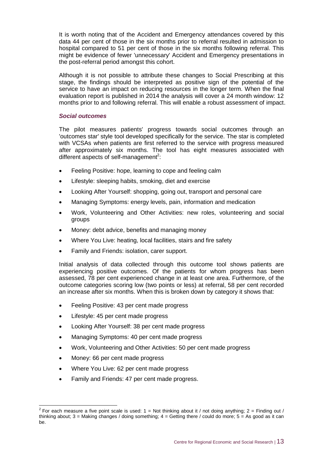It is worth noting that of the Accident and Emergency attendances covered by this data 44 per cent of those in the six months prior to referral resulted in admission to hospital compared to 51 per cent of those in the six months following referral. This might be evidence of fewer 'unnecessary' Accident and Emergency presentations in the post-referral period amongst this cohort.

Although it is not possible to attribute these changes to Social Prescribing at this stage, the findings should be interpreted as positive sign of the potential of the service to have an impact on reducing resources in the longer term. When the final evaluation report is published in 2014 the analysis will cover a 24 month window: 12 months prior to and following referral. This will enable a robust assessment of impact.

#### *Social outcomes*

The pilot measures patients' progress towards social outcomes through an 'outcomes star' style tool developed specifically for the service. The star is completed with VCSAs when patients are first referred to the service with progress measured after approximately six months. The tool has eight measures associated with different aspects of self-management<sup>2</sup>:

- Feeling Positive: hope, learning to cope and feeling calm
- Lifestyle: sleeping habits, smoking, diet and exercise
- Looking After Yourself: shopping, going out, transport and personal care
- Managing Symptoms: energy levels, pain, information and medication
- Work, Volunteering and Other Activities: new roles, volunteering and social groups
- Money: debt advice, benefits and managing money
- Where You Live: heating, local facilities, stairs and fire safety
- Family and Friends: isolation, carer support.

Initial analysis of data collected through this outcome tool shows patients are experiencing positive outcomes. Of the patients for whom progress has been assessed, 78 per cent experienced change in at least one area. Furthermore, of the outcome categories scoring low (two points or less) at referral, 58 per cent recorded an increase after six months. When this is broken down by category it shows that:

- Feeling Positive: 43 per cent made progress
- Lifestyle: 45 per cent made progress
- Looking After Yourself: 38 per cent made progress
- Managing Symptoms: 40 per cent made progress
- Work, Volunteering and Other Activities: 50 per cent made progress
- Money: 66 per cent made progress
- Where You Live: 62 per cent made progress
- Family and Friends: 47 per cent made progress.

 2 For each measure a five point scale is used: 1 = Not thinking about it / not doing anything; 2 = Finding out / thinking about;  $3 =$  Making changes / doing something;  $4 =$  Getting there / could do more;  $5 =$  As good as it can be.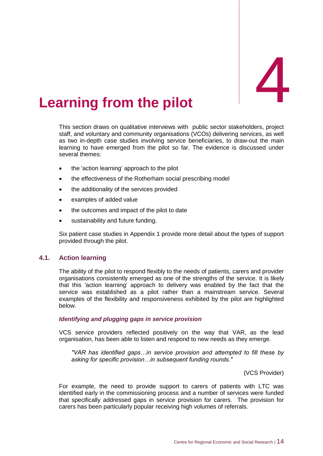## <span id="page-22-0"></span>**Learning from the pilot**

This section draws on qualitative interviews with public sector stakeholders, project staff, and voluntary and community organisations (VCOs) delivering services, as well as two in-depth case studies involving service beneficiaries, to draw-out the main learning to have emerged from the pilot so far. The evidence is discussed under several themes:

- the 'action learning' approach to the pilot
- the effectiveness of the Rotherham social prescribing model
- the additionality of the services provided
- examples of added value
- the outcomes and impact of the pilot to date
- sustainability and future funding.

Six patient case studies in Appendix 1 provide more detail about the types of support provided through the pilot.

#### **4.1. Action learning**

The ability of the pilot to respond flexibly to the needs of patients, carers and provider organisations consistently emerged as one of the strengths of the service. It is likely that this 'action learning' approach to delivery was enabled by the fact that the service was established as a pilot rather than a mainstream service. Several examples of the flexibility and responsiveness exhibited by the pilot are highlighted below.

#### *Identifying and plugging gaps in service provision*

VCS service providers reflected positively on the way that VAR, as the lead organisation, has been able to listen and respond to new needs as they emerge.

*"VAR has identified gaps…in service provision and attempted to fill these by asking for specific provision…in subsequent funding rounds."*

(VCS Provider)

For example, the need to provide support to carers of patients with LTC was identified early in the commissioning process and a number of services were funded that specifically addressed gaps in service provision for carers. The provision for carers has been particularly popular receiving high volumes of referrals.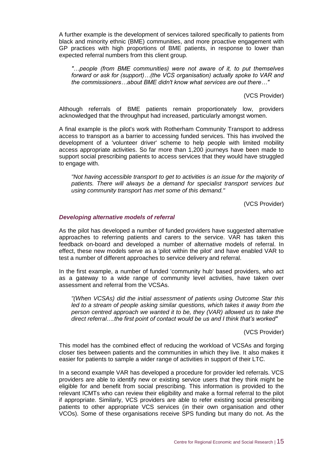A further example is the development of services tailored specifically to patients from black and minority ethnic (BME) communities, and more proactive engagement with GP practices with high proportions of BME patients, in response to lower than expected referral numbers from this client group.

*"…people (from BME communities) were not aware of it, to put themselves forward or ask for (support)…(the VCS organisation) actually spoke to VAR and the commissioners…about BME didn't know what services are out there…"*

(VCS Provider)

Although referrals of BME patients remain proportionately low, providers acknowledged that the throughput had increased, particularly amongst women.

A final example is the pilot's work with Rotherham Community Transport to address access to transport as a barrier to accessing funded services. This has involved the development of a 'volunteer driver' scheme to help people with limited mobility access appropriate activities. So far more than 1,200 journeys have been made to support social prescribing patients to access services that they would have struggled to engage with.

*"Not having accessible transport to get to activities is an issue for the majority of patients. There will always be a demand for specialist transport services but using community transport has met some of this demand."*

(VCS Provider)

#### *Developing alternative models of referral*

As the pilot has developed a number of funded providers have suggested alternative approaches to referring patients and carers to the service. VAR has taken this feedback on-board and developed a number of alternative models of referral. In effect, these new models serve as a 'pilot within the pilot' and have enabled VAR to test a number of different approaches to service delivery and referral.

In the first example, a number of funded 'community hub' based providers, who act as a gateway to a wide range of community level activities, have taken over assessment and referral from the VCSAs.

*"(When VCSAs) did the initial assessment of patients using Outcome Star this led to a stream of people asking similar questions, which takes it away from the person centred approach we wanted it to be, they (VAR) allowed us to take the direct referral….the first point of contact would be us and I think that's worked"*

(VCS Provider)

This model has the combined effect of reducing the workload of VCSAs and forging closer ties between patients and the communities in which they live. It also makes it easier for patients to sample a wider range of activities in support of their LTC.

In a second example VAR has developed a procedure for provider led referrals. VCS providers are able to identify new or existing service users that they think might be eligible for and benefit from social prescribing. This information is provided to the relevant ICMTs who can review their eligibility and make a formal referral to the pilot if appropriate. Similarly, VCS providers are able to refer existing social prescribing patients to other appropriate VCS services (in their own organisation and other VCOs). Some of these organisations receive SPS funding but many do not. As the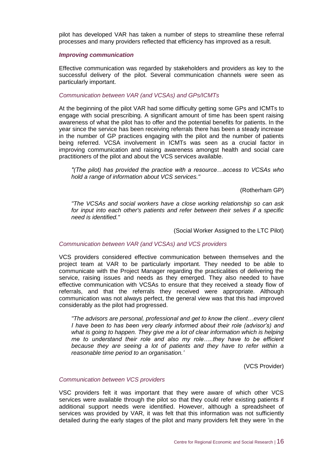pilot has developed VAR has taken a number of steps to streamline these referral processes and many providers reflected that efficiency has improved as a result.

#### *Improving communication*

Effective communication was regarded by stakeholders and providers as key to the successful delivery of the pilot. Several communication channels were seen as particularly important.

#### *Communication between VAR (and VCSAs) and GPs/ICMTs*

At the beginning of the pilot VAR had some difficulty getting some GPs and ICMTs to engage with social prescribing. A significant amount of time has been spent raising awareness of what the pilot has to offer and the potential benefits for patients. In the year since the service has been receiving referrals there has been a steady increase in the number of GP practices engaging with the pilot and the number of patients being referred. VCSA involvement in ICMTs was seen as a crucial factor in improving communication and raising awareness amongst health and social care practitioners of the pilot and about the VCS services available.

*"(The pilot) has provided the practice with a resource…access to VCSAs who hold a range of information about VCS services."*

(Rotherham GP)

*"The VCSAs and social workers have a close working relationship so can ask for input into each other's patients and refer between their selves if a specific need is identified."* 

(Social Worker Assigned to the LTC Pilot)

#### *Communication between VAR (and VCSAs) and VCS providers*

VCS providers considered effective communication between themselves and the project team at VAR to be particularly important. They needed to be able to communicate with the Project Manager regarding the practicalities of delivering the service, raising issues and needs as they emerged. They also needed to have effective communication with VCSAs to ensure that they received a steady flow of referrals, and that the referrals they received were appropriate. Although communication was not always perfect, the general view was that this had improved considerably as the pilot had progressed.

*"The advisors are personal, professional and get to know the client…every client I have been to has been very clearly informed about their role (advisor's) and what is going to happen. They give me a lot of clear information which is helping me to understand their role and also my role…..they have to be efficient because they are seeing a lot of patients and they have to refer within a reasonable time period to an organisation.'*

(VCS Provider)

#### *Communication between VCS providers*

VSC providers felt it was important that they were aware of which other VCS services were available through the pilot so that they could refer existing patients if additional support needs were identified. However, although a spreadsheet of services was provided by VAR, it was felt that this information was not sufficiently detailed during the early stages of the pilot and many providers felt they were 'in the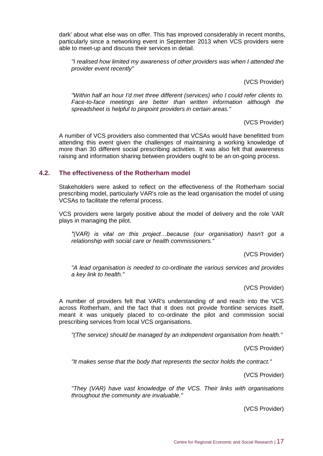dark' about what else was on offer. This has improved considerably in recent months, particularly since a networking event in September 2013 when VCS providers were able to meet-up and discuss their services in detail.

*"I realised how limited my awareness of other providers was when I attended the provider event recently"*

(VCS Provider)

*"Within half an hour I'd met three different (services) who I could refer clients to. Face-to-face meetings are better than written information although the spreadsheet is helpful to pinpoint providers in certain areas."*

(VCS Provider)

A number of VCS providers also commented that VCSAs would have benefitted from attending this event given the challenges of maintaining a working knowledge of more than 30 different social prescribing activities. It was also felt that awareness raising and information sharing between providers ought to be an on-going process.

#### **4.2. The effectiveness of the Rotherham model**

Stakeholders were asked to reflect on the effectiveness of the Rotherham social prescribing model, particularly VAR's role as the lead organisation the model of using VCSAs to facilitate the referral process.

VCS providers were largely positive about the model of delivery and the role VAR plays in managing the pilot.

*"(VAR) is vital on this project…because (our organisation) hasn't got a relationship with social care or health commissioners."*

(VCS Provider)

*"A lead organisation is needed to co-ordinate the various services and provides a key link to health."*

(VCS Provider)

A number of providers felt that VAR's understanding of and reach into the VCS across Rotherham, and the fact that it does not provide frontline services itself, meant it was uniquely placed to co-ordinate the pilot and commission social prescribing services from local VCS organisations.

*"(The service) should be managed by an independent organisation from health."*

(VCS Provider)

*"It makes sense that the body that represents the sector holds the contract."*

(VCS Provider)

*"They (VAR) have vast knowledge of the VCS. Their links with organisations throughout the community are invaluable."*

(VCS Provider)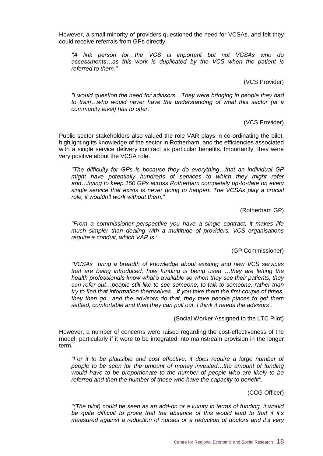However, a small minority of providers questioned the need for VCSAs, and felt they could receive referrals from GPs directly.

*"A link person for…the VCS is important but not VCSAs who do assessments…as this work is duplicated by the VCS when the patient is referred to them."*

(VCS Provider)

*"I would question the need for advisors…They were bringing in people they had to train…who would never have the understanding of what this sector (at a community level) has to offer."*

(VCS Provider)

Public sector stakeholders also valued the role VAR plays in co-ordinating the pilot, highlighting its knowledge of the sector in Rotherham, and the efficiencies associated with a single service delivery contract as particular benefits. Importantly, they were very positive about the VCSA role.

*"The difficulty for GPs is because they do everything…that an individual GP might have potentially hundreds of services to which they might refer and…trying to keep 150 GPs across Rotherham completely up-to-date on every single service that exists is never going to happen. The VCSAs play a crucial role, it wouldn't work without them."*

(Rotherham GP)

*"From a commissioner perspective you have a single contract, it makes life much simpler than dealing with a multitude of providers. VCS organisations require a conduit, which VAR is."*

(GP Commissioner)

*"VCSAs bring a breadth of knowledge about existing and new VCS services that are being introduced, how funding is being used …they are letting the health professionals know what's available so when they see their patients, they can refer out…people still like to see someone, to talk to someone, rather than try to find that information themselves…if you take them the first couple of times, they then go…and the advisors do that, they take people places to get them settled, comfortable and then they can pull out. I think it needs the advisors".*

(Social Worker Assigned to the LTC Pilot)

However, a number of concerns were raised regarding the cost-effectiveness of the model, particularly if it were to be integrated into mainstream provision in the longer term.

*"For it to be plausible and cost effective, it does require a large number of people to be seen for the amount of money invested…the amount of funding would have to be proportionate to the number of people who are likely to be referred and then the number of those who have the capacity to benefit".*

(CCG Officer)

*"(The pilot) could be seen as an add-on or a luxury in terms of funding, it would be quite difficult to prove that the absence of this would lead to that if it's measured against a reduction of nurses or a reduction of doctors and it's very*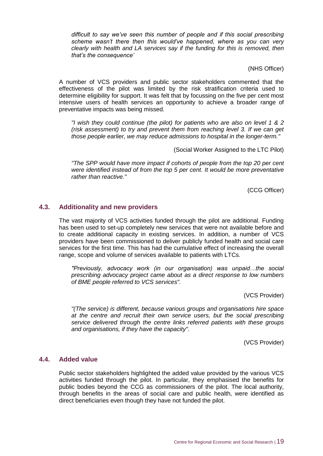*difficult to say we've seen this number of people and if this social prescribing scheme wasn't there then this would've happened, where as you can very clearly with health and LA services say if the funding for this is removed, then that's the consequence'*

(NHS Officer)

A number of VCS providers and public sector stakeholders commented that the effectiveness of the pilot was limited by the risk stratification criteria used to determine eligibility for support. It was felt that by focussing on the five per cent most intensive users of health services an opportunity to achieve a broader range of preventative impacts was being missed.

*"I wish they could continue (the pilot) for patients who are also on level 1 & 2 (risk assessment) to try and prevent them from reaching level 3. If we can get those people earlier, we may reduce admissions to hospital in the longer-term."*

(Social Worker Assigned to the LTC Pilot)

*"The SPP would have more impact if cohorts of people from the t*o*p 20 per cent were identified instead of from the top 5 per cent. It would be more preventative rather than reactive."*

(CCG Officer)

#### **4.3. Additionality and new providers**

The vast majority of VCS activities funded through the pilot are additional. Funding has been used to set-up completely new services that were not available before and to create additional capacity in existing services. In addition, a number of VCS providers have been commissioned to deliver publicly funded health and social care services for the first time. This has had the cumulative effect of increasing the overall range, scope and volume of services available to patients with LTCs.

*"Previously, advocacy work (in our organisation) was unpaid…the social prescribing advocacy project came about as a direct response to low numbers of BME people referred to VCS services".*

(VCS Provider)

*"(The service) is different, because various groups and organisations hire space at the centre and recruit their own service users, but the social prescribing service delivered through the centre links referred patients with these groups and organisations, if they have the capacity".*

(VCS Provider)

#### **4.4. Added value**

Public sector stakeholders highlighted the added value provided by the various VCS activities funded through the pilot. In particular, they emphasised the benefits for public bodies beyond the CCG as commissioners of the pilot. The local authority, through benefits in the areas of social care and public health, were identified as direct beneficiaries even though they have not funded the pilot.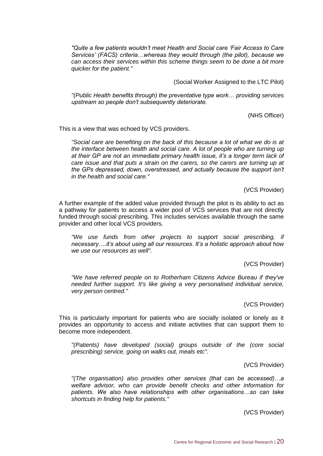*"Quite a few patients wouldn't meet Health and Social care 'Fair Access to Care Services' (FACS) criteria…whereas they would through (the pilot), because we can access their services within this scheme things seem to be done a bit more quicker for the patient."*

(Social Worker Assigned to the LTC Pilot)

*"(Public Health benefits through) the preventative type work… providing services upstream so people don't subsequently deteriorate.*

(NHS Officer)

This is a view that was echoed by VCS providers.

*"Social care are benefiting on the back of this because a lot of what we do is at the interface between health and social care. A lot of people who are turning up at their GP are not an immediate primary health issue, it's a longer term lack of care issue and that puts a strain on the carers, so the carers are turning up at the GPs depressed, down, overstressed, and actually because the support isn't in the health and social care."*

(VCS Provider)

A further example of the added value provided through the pilot is its ability to act as a pathway for patients to access a wider pool of VCS services that are not directly funded through social prescribing. This includes services available through the same provider and other local VCS providers.

*"We use funds from other projects to support social prescribing, if necessary….it's about using all our resources. It's a holistic approach about how we use our resources as well".*

(VCS Provider)

*"We have referred people on to Rotherham Citizens Advice Bureau if they've needed further support. It's like giving a very personalised individual service, very person centred."*

(VCS Provider)

This is particularly important for patients who are socially isolated or lonely as it provides an opportunity to access and initiate activities that can support them to become more independent.

*"(Patients) have developed (social) groups outside of the (core social prescribing) service, going on walks out, meals etc".*

(VCS Provider)

*"(The organisation) also provides other services (that can be accessed)…a welfare advisor, who can provide benefit checks and other information for patients. We also have relationships with other organisations…so can take shortcuts in finding help for patients."*

(VCS Provider)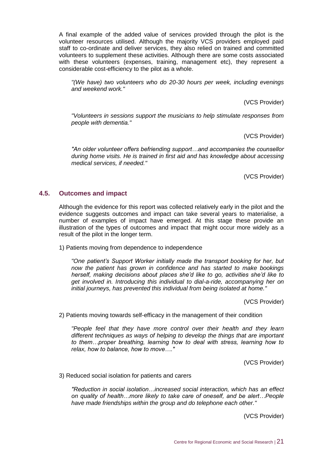A final example of the added value of services provided through the pilot is the volunteer resources utilised. Although the majority VCS providers employed paid staff to co-ordinate and deliver services, they also relied on trained and committed volunteers to supplement these activities. Although there are some costs associated with these volunteers (expenses, training, management etc), they represent a considerable cost-efficiency to the pilot as a whole.

*"(We have) two volunteers who do 20-30 hours per week, including evenings and weekend work."*

(VCS Provider)

*"Volunteers in sessions support the musicians to help stimulate responses from people with dementia."*

(VCS Provider)

*"An older volunteer offers befriending support…and accompanies the counsellor during home visits. He is trained in first aid and has knowledge about accessing medical services, if needed."*

(VCS Provider)

#### **4.5. Outcomes and impact**

Although the evidence for this report was collected relatively early in the pilot and the evidence suggests outcomes and impact can take several years to materialise, a number of examples of impact have emerged. At this stage these provide an illustration of the types of outcomes and impact that might occur more widely as a result of the pilot in the longer term.

1) Patients moving from dependence to independence

*"One patient's Support Worker initially made the transport booking for her, but now the patient has grown in confidence and has started to make bookings herself, making decisions about places she'd like to go, activities she'd like to get involved in. Introducing this individual to dial-a-ride, accompanying her on initial journeys, has prevented this individual from being isolated at home."*

(VCS Provider)

2) Patients moving towards self-efficacy in the management of their condition

*"People feel that they have more control over their health and they learn different techniques as ways of helping to develop the things that are important to them…proper breathing, learning how to deal with stress, learning how to relax, how to balance, how to move…."*

(VCS Provider)

3) Reduced social isolation for patients and carers

*"Reduction in social isolation…increased social interaction, which has an effect on quality of health…more likely to take care of oneself, and be alert…People have made friendships within the group and do telephone each other."*

(VCS Provider)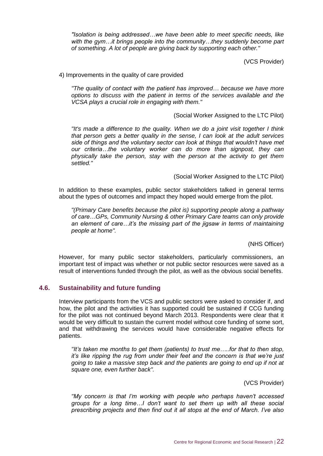*"Isolation is being addressed…we have been able to meet specific needs, like with the gym…it brings people into the community…they suddenly become part of something. A lot of people are giving back by supporting each other."*

(VCS Provider)

#### 4) Improvements in the quality of care provided

*"The quality of contact with the patient has improved… because we have more options to discuss with the patient in terms of the services available and the VCSA plays a crucial role in engaging with them."*

#### (Social Worker Assigned to the LTC Pilot)

*"It's made a difference to the quality. When we do a joint visit together I think that person gets a better quality in the sense, I can look at the adult services side of things and the voluntary sector can look at things that wouldn't have met our criteria…the voluntary worker can do more than signpost, they can physically take the person, stay with the person at the activity to get them settled."*

#### (Social Worker Assigned to the LTC Pilot)

In addition to these examples, public sector stakeholders talked in general terms about the types of outcomes and impact they hoped would emerge from the pilot.

*"(Primary Care benefits because the pilot is) supporting people along a pathway of care…GPs, Community Nursing & other Primary Care teams can only provide an element of care…it's the missing part of the jigsaw in terms of maintaining people at home".*

(NHS Officer)

However, for many public sector stakeholders, particularly commissioners, an important test of impact was whether or not public sector resources were saved as a result of interventions funded through the pilot, as well as the obvious social benefits.

#### **4.6. Sustainability and future funding**

Interview participants from the VCS and public sectors were asked to consider if, and how, the pilot and the activities it has supported could be sustained if CCG funding for the pilot was not continued beyond March 2013. Respondents were clear that it would be very difficult to sustain the current model without core funding of some sort, and that withdrawing the services would have considerable negative effects for patients.

*"It's taken me months to get them (patients) to trust me…..for that to then stop, it's like ripping the rug from under their feet and the concern is that we're just going to take a massive step back and the patients are going to end up if not at square one, even further back".*

(VCS Provider)

*"My concern is that I'm working with people who perhaps haven't accessed groups for a long time…I don't want to set them up with all these social prescribing projects and then find out it all stops at the end of March. I've also*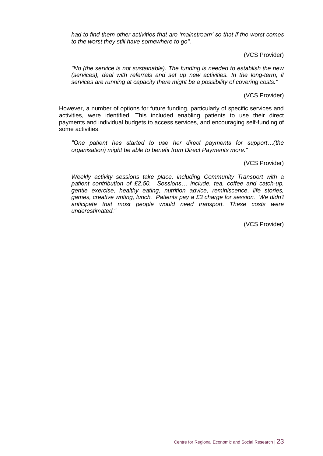*had to find them other activities that are 'mainstream' so that if the worst comes to the worst they still have somewhere to go".*

(VCS Provider)

*"No (the service is not sustainable). The funding is needed to establish the new (services), deal with referrals and set up new activities. In the long-term, if services are running at capacity there might be a possibility of covering costs."*

(VCS Provider)

However, a number of options for future funding, particularly of specific services and activities, were identified. This included enabling patients to use their direct payments and individual budgets to access services, and encouraging self-funding of some activities.

*"One patient has started to use her direct payments for support…(the organisation) might be able to benefit from Direct Payments more."*

(VCS Provider)

*Weekly activity sessions take place, including Community Transport with a patient contribution of £2.50. Sessions… include, tea, coffee and catch-up, gentle exercise, healthy eating, nutrition advice, reminiscence, life stories, games, creative writing, lunch. Patients pay a £3 charge for session. We didn't anticipate that most people would need transport. These costs were underestimated."*

(VCS Provider)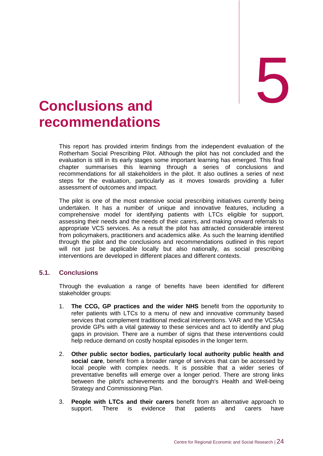# <span id="page-32-0"></span>5. **Conclusions and** 5 **recommendations**

This report has provided interim findings from the independent evaluation of the Rotherham Social Prescribing Pilot. Although the pilot has not concluded and the evaluation is still in its early stages some important learning has emerged. This final chapter summarises this learning through a series of conclusions and recommendations for all stakeholders in the pilot. It also outlines a series of next steps for the evaluation, particularly as it moves towards providing a fuller assessment of outcomes and impact.

The pilot is one of the most extensive social prescribing initiatives currently being undertaken. It has a number of unique and innovative features, including a comprehensive model for identifying patients with LTCs eligible for support, assessing their needs and the needs of their carers, and making onward referrals to appropriate VCS services. As a result the pilot has attracted considerable interest from policymakers, practitioners and academics alike. As such the learning identified through the pilot and the conclusions and recommendations outlined in this report will not just be applicable locally but also nationally, as social prescribing interventions are developed in different places and different contexts.

### **5.1. Conclusions**

Through the evaluation a range of benefits have been identified for different stakeholder groups:

- 1. **The CCG, GP practices and the wider NHS** benefit from the opportunity to refer patients with LTCs to a menu of new and innovative community based services that complement traditional medical interventions. VAR and the VCSAs provide GPs with a vital gateway to these services and act to identify and plug gaps in provision. There are a number of signs that these interventions could help reduce demand on costly hospital episodes in the longer term.
- 2. **Other public sector bodies, particularly local authority public health and social care**, benefit from a broader range of services that can be accessed by local people with complex needs. It is possible that a wider series of preventative benefits will emerge over a longer period. There are strong links between the pilot's achievements and the borough's Health and Well-being Strategy and Commissioning Plan.
- 3. **People with LTCs and their carers** benefit from an alternative approach to support. There is evidence that patients and carers have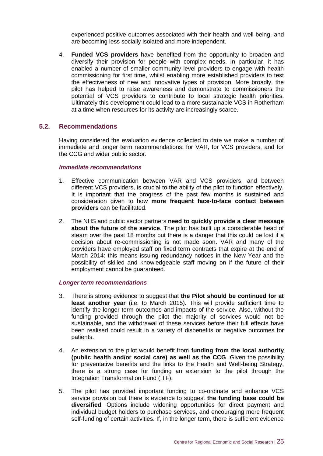experienced positive outcomes associated with their health and well-being, and are becoming less socially isolated and more independent.

4. **Funded VCS providers** have benefited from the opportunity to broaden and diversify their provision for people with complex needs. In particular, it has enabled a number of smaller community level providers to engage with health commissioning for first time, whilst enabling more established providers to test the effectiveness of new and innovative types of provision. More broadly, the pilot has helped to raise awareness and demonstrate to commissioners the potential of VCS providers to contribute to local strategic health priorities. Ultimately this development could lead to a more sustainable VCS in Rotherham at a time when resources for its activity are increasingly scarce.

#### **5.2. Recommendations**

Having considered the evaluation evidence collected to date we make a number of immediate and longer term recommendations: for VAR, for VCS providers, and for the CCG and wider public sector.

#### *Immediate recommendations*

- 1. Effective communication between VAR and VCS providers, and between different VCS providers, is crucial to the ability of the pilot to function effectively. It is important that the progress of the past few months is sustained and consideration given to how **more frequent face-to-face contact between providers** can be facilitated.
- 2. The NHS and public sector partners **need to quickly provide a clear message about the future of the service**. The pilot has built up a considerable head of steam over the past 18 months but there is a danger that this could be lost if a decision about re-commissioning is not made soon. VAR and many of the providers have employed staff on fixed term contracts that expire at the end of March 2014: this means issuing redundancy notices in the New Year and the possibility of skilled and knowledgeable staff moving on if the future of their employment cannot be guaranteed.

#### *Longer term recommendations*

- 3. There is strong evidence to suggest that **the Pilot should be continued for at least another year** (i.e. to March 2015). This will provide sufficient time to identify the longer term outcomes and impacts of the service. Also, without the funding provided through the pilot the majority of services would not be sustainable, and the withdrawal of these services before their full effects have been realised could result in a variety of disbenefits or negative outcomes for patients.
- 4. An extension to the pilot would benefit from **funding from the local authority (public health and/or social care) as well as the CCG**. Given the possibility for preventative benefits and the links to the Health and Well-being Strategy, there is a strong case for funding an extension to the pilot through the Integration Transformation Fund (ITF).
- 5. The pilot has provided important funding to co-ordinate and enhance VCS service provision but there is evidence to suggest **the funding base could be diversified**. Options include widening opportunities for direct payment and individual budget holders to purchase services, and encouraging more frequent self-funding of certain activities. If, in the longer term, there is sufficient evidence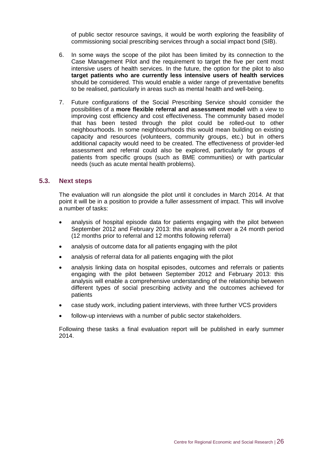of public sector resource savings, it would be worth exploring the feasibility of commissioning social prescribing services through a social impact bond (SIB).

- 6. In some ways the scope of the pilot has been limited by its connection to the Case Management Pilot and the requirement to target the five per cent most intensive users of health services. In the future, the option for the pilot to also **target patients who are currently less intensive users of health services** should be considered. This would enable a wider range of preventative benefits to be realised, particularly in areas such as mental health and well-being.
- 7. Future configurations of the Social Prescribing Service should consider the possibilities of a **more flexible referral and assessment model** with a view to improving cost efficiency and cost effectiveness. The community based model that has been tested through the pilot could be rolled-out to other neighbourhoods. In some neighbourhoods this would mean building on existing capacity and resources (volunteers, community groups, etc.) but in others additional capacity would need to be created. The effectiveness of provider-led assessment and referral could also be explored, particularly for groups of patients from specific groups (such as BME communities) or with particular needs (such as acute mental health problems).

#### **5.3. Next steps**

The evaluation will run alongside the pilot until it concludes in March 2014. At that point it will be in a position to provide a fuller assessment of impact. This will involve a number of tasks:

- analysis of hospital episode data for patients engaging with the pilot between September 2012 and February 2013: this analysis will cover a 24 month period (12 months prior to referral and 12 months following referral)
- analysis of outcome data for all patients engaging with the pilot
- analysis of referral data for all patients engaging with the pilot
- analysis linking data on hospital episodes, outcomes and referrals or patients engaging with the pilot between September 2012 and February 2013: this analysis will enable a comprehensive understanding of the relationship between different types of social prescribing activity and the outcomes achieved for patients
- case study work, including patient interviews, with three further VCS providers
- follow-up interviews with a number of public sector stakeholders.

Following these tasks a final evaluation report will be published in early summer 2014.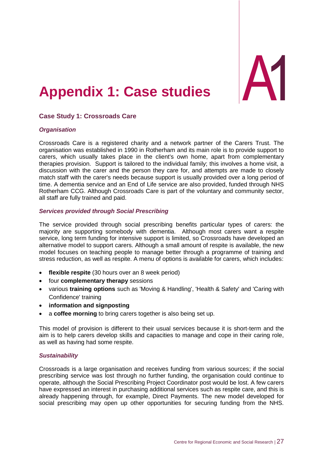## <span id="page-35-0"></span>**Appendix 1: Case studies**

## **Case Study 1: Crossroads Care**

#### *Organisation*

Crossroads Care is a registered charity and a network partner of the Carers Trust. The organisation was established in 1990 in Rotherham and its main role is to provide support to carers, which usually takes place in the client's own home, apart from complementary therapies provision. Support is tailored to the individual family; this involves a home visit, a discussion with the carer and the person they care for, and attempts are made to closely match staff with the carer's needs because support is usually provided over a long period of time. A dementia service and an End of Life service are also provided, funded through NHS Rotherham CCG. Although Crossroads Care is part of the voluntary and community sector, all staff are fully trained and paid.

#### *Services provided through Social Prescribing*

The service provided through social prescribing benefits particular types of carers: the majority are supporting somebody with dementia. Although most carers want a respite service, long term funding for intensive support is limited, so Crossroads have developed an alternative model to support carers. Although a small amount of respite is available, the new model focuses on teaching people to manage better through a programme of training and stress reduction, as well as respite. A menu of options is available for carers, which includes:

- **flexible respite** (30 hours over an 8 week period)
- **•** four **complementary therapy** sessions
- various **training options** such as 'Moving & Handling', 'Health & Safety' and 'Caring with Confidence' training
- **information and signposting**
- a **coffee morning** to bring carers together is also being set up.

This model of provision is different to their usual services because it is short-term and the aim is to help carers develop skills and capacities to manage and cope in their caring role, as well as having had some respite.

#### *Sustainability*

Crossroads is a large organisation and receives funding from various sources; if the social prescribing service was lost through no further funding, the organisation could continue to operate, although the Social Prescribing Project Coordinator post would be lost. A few carers have expressed an interest in purchasing additional services such as respite care, and this is already happening through, for example, Direct Payments. The new model developed for social prescribing may open up other opportunities for securing funding from the NHS.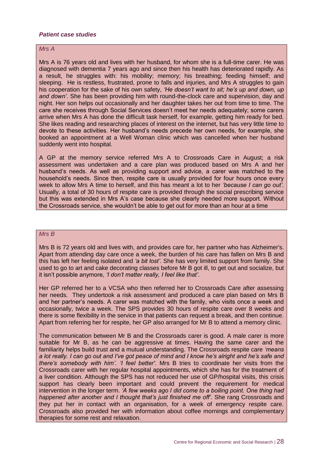#### *Patient case studies*

#### *Mrs A*

Mrs A is 76 years old and lives with her husband, for whom she is a full-time carer. He was diagnosed with dementia 7 years ago and since then his health has deteriorated rapidly. As a result, he struggles with: his mobility; memory; his breathing; feeding himself; and sleeping. He is restless, frustrated, prone to falls and injuries, and Mrs A struggles to gain his cooperation for the sake of his own safety, *'He doesn't want to sit; he's up and down, up and down'*. She has been providing him with round-the-clock care and supervision, day and night. Her son helps out occasionally and her daughter takes her out from time to time. The care she receives through Social Services doesn't meet her needs adequately; some carers arrive when Mrs A has done the difficult task herself, for example, getting him ready for bed. She likes reading and researching places of interest on the internet, but has very little time to devote to these activities. Her husband's needs precede her own needs, for example, she booked an appointment at a Well Woman clinic which was cancelled when her husband suddenly went into hospital.

A GP at the memory service referred Mrs A to Crossroads Care in August; a risk assessment was undertaken and a care plan was produced based on Mrs A and her husband's needs. As well as providing support and advice, a carer was matched to the household's needs. Since then, respite care is usually provided for four hours once every week to allow Mrs A time to herself, and this has meant a lot to her *'because I can go out'*. Usually, a total of 30 hours of respite care is provided through the social prescribing service but this was extended in Mrs A's case because she clearly needed more support. Without the Crossroads service, she wouldn't be able to get out for more than an hour at a time

#### *Mrs B*

Mrs B is 72 years old and lives with, and provides care for, her partner who has Alzheimer's. Apart from attending day care once a week, the burden of his care has fallen on Mrs B and this has left her feeling isolated and *'a bit lost'*. She has very limited support from family. She used to go to art and cake decorating classes before Mr B got ill, to get out and socialize, but it isn't possible anymore, *'I don't matter really, I feel like that'*.

Her GP referred her to a VCSA who then referred her to Crossroads Care after assessing her needs. They undertook a risk assessment and produced a care plan based on Mrs B and her partner's needs. A carer was matched with the family, who visits once a week and occasionally, twice a week. The SPS provides 30 hours of respite care over 8 weeks and there is some flexibility in the service in that patients can request a break, and then continue. Apart from referring her for respite, her GP also arranged for Mr B to attend a memory clinic.

The communication between Mr B and the Crossroads carer is good. A male carer is more suitable for Mr B, as he can be aggressive at times. Having the same carer and the familiarity helps build trust and a mutual understanding. The Crossroads respite care *'means a lot really. I can go out and I've got peace of mind and I know he's alright and he's safe and there's somebody with him'. 'I feel better'*. Mrs B tries to coordinate her visits from the Crossroads carer with her regular hospital appointments, which she has for the treatment of a liver condition. Although the SPS has not reduced her use of GP/hospital visits, this crisis support has clearly been important and could prevent the requirement for medical intervention in the longer term. *'A few weeks ago I did come to a boiling point. One thing had happened after another and I thought that's just finished me off'*. She rang Crossroads and they put her in contact with an organisation, for a week of emergency respite care. Crossroads also provided her with information about coffee mornings and complementary therapies for some rest and relaxation.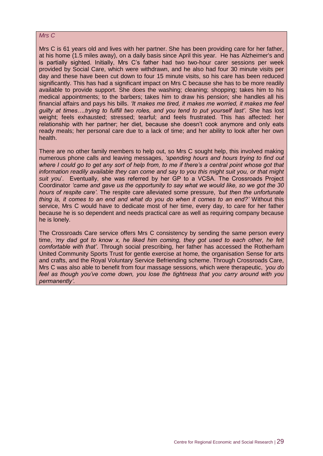#### *Mrs C*

Mrs C is 61 years old and lives with her partner. She has been providing care for her father, at his home (1.5 miles away), on a daily basis since April this year. He has Alzheimer's and is partially sighted. Initially, Mrs C's father had two two-hour carer sessions per week provided by Social Care, which were withdrawn, and he also had four 30 minute visits per day and these have been cut down to four 15 minute visits, so his care has been reduced significantly. This has had a significant impact on Mrs C because she has to be more readily available to provide support. She does the washing; cleaning; shopping; takes him to his medical appointments; to the barbers; takes him to draw his pension; she handles all his financial affairs and pays his bills. *'It makes me tired, it makes me worried, it makes me feel guilty at times….trying to fulfill two roles, and you tend to put yourself last'*. She has lost weight; feels exhausted; stressed; tearful; and feels frustrated. This has affected: her relationship with her partner; her diet, because she doesn't cook anymore and only eats ready meals; her personal care due to a lack of time; and her ability to look after her own health.

There are no other family members to help out, so Mrs C sought help, this involved making numerous phone calls and leaving messages, *'spending hours and hours trying to find out where I could go to get any sort of help from, to me if there's a central point whose got that information readily available they can come and say to you this might suit you, or that might suit yo*u'. Eventually, she was referred by her GP to a VCSA. The Crossroads Project Coordinator *'came and gave us the opportunity to say what we would like, so we got the 30 hours of respite care'*. The respite care alleviated some pressure, *'but then the unfortunate thing is, it comes to an end and what do you do when it comes to an end?'* Without this service, Mrs C would have to dedicate most of her time, every day, to care for her father because he is so dependent and needs practical care as well as requiring company because he is lonely.

The Crossroads Care service offers Mrs C consistency by sending the same person every time, *'my dad got to know x, he liked him coming, they got used to each other, he felt comfortable with that'*. Through social prescribing, her father has accessed the Rotherham United Community Sports Trust for gentle exercise at home, the organisation Sense for arts and crafts, and the Royal Voluntary Service Befriending scheme. Through Crossroads Care, Mrs C was also able to benefit from four massage sessions, which were therapeutic, *'you do feel as though you've come down, you lose the tightness that you carry around with you permanently'*.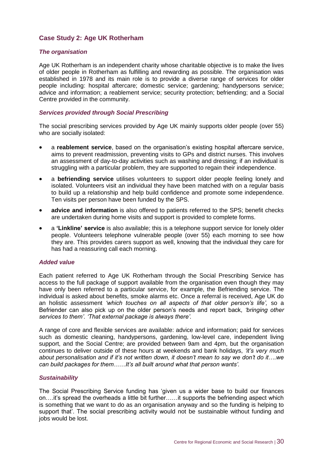### **Case Study 2: Age UK Rotherham**

#### *The organisation*

Age UK Rotherham is an independent charity whose charitable objective is to make the lives of older people in Rotherham as fulfilling and rewarding as possible. The organisation was established in 1978 and its main role is to provide a diverse range of services for older people including: hospital aftercare; domestic service; gardening; handypersons service; advice and information; a reablement service; security protection; befriending; and a Social Centre provided in the community.

#### *Services provided through Social Prescribing*

The social prescribing services provided by Age UK mainly supports older people (over 55) who are socially isolated:

- a **reablement service**, based on the organisation's existing hospital aftercare service, aims to prevent readmission, preventing visits to GPs and district nurses. This involves an assessment of day-to-day activities such as washing and dressing; if an individual is struggling with a particular problem, they are supported to regain their independence.
- a **befriending service** utilises volunteers to support older people feeling lonely and isolated. Volunteers visit an individual they have been matched with on a regular basis to build up a relationship and help build confidence and promote some independence. Ten visits per person have been funded by the SPS.
- **advice and information** is also offered to patients referred to the SPS; benefit checks are undertaken during home visits and support is provided to complete forms.
- a **'Linkline' service** is also available; this is a telephone support service for lonely older people. Volunteers telephone vulnerable people (over 55) each morning to see how they are. This provides carers support as well, knowing that the individual they care for has had a reassuring call each morning.

#### *Added value*

Each patient referred to Age UK Rotherham through the Social Prescribing Service has access to the full package of support available from the organisation even though they may have only been referred to a particular service, for example, the Befriending service. The individual is asked about benefits, smoke alarms etc. Once a referral is received, Age UK do an holistic assessment *'which touches on all aspects of that older person's life',* so a Befriender can also pick up on the older person's needs and report back, *'bringing other services to them'. 'That external package is always there'.*

A range of core and flexible services are available: advice and information; paid for services such as domestic cleaning, handypersons, gardening, low-level care, independent living support, and the Social Centre; are provided between 9am and 4pm, but the organisation continues to deliver outside of these hours at weekends and bank holidays, *'it's very much about personalisation and if it's not written down, it doesn't mean to say we don't do it….we can build packages for them……It's all built around what that person wants'.*

#### *Sustainability*

The Social Prescribing Service funding has 'given us a wider base to build our finances on….it's spread the overheads a little bit further……it supports the befriending aspect which is something that we want to do as an organisation anyway and so the funding is helping to support that'. The social prescribing activity would not be sustainable without funding and jobs would be lost.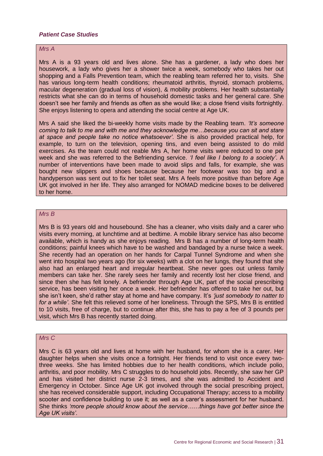#### *Patient Case Studies*

#### *Mrs A*

Mrs A is a 93 years old and lives alone. She has a gardener, a lady who does her housework, a lady who gives her a shower twice a week, somebody who takes her out shopping and a Falls Prevention team, which the reabling team referred her to, visits. She has various long-term health conditions; rheumatoid arthritis, thyroid, stomach problems, macular degeneration (gradual loss of vision), & mobility problems. Her health substantially restricts what she can do in terms of household domestic tasks and her general care. She doesn't see her family and friends as often as she would like; a close friend visits fortnightly. She enjoys listening to opera and attending the social centre at Age UK.

Mrs A said she liked the bi-weekly home visits made by the Reabling team. *'It's someone coming to talk to me and with me and they acknowledge me…because you can sit and stare at space and people take no notice whatsoever'*. She is also provided practical help, for example, to turn on the television, opening tins, and even being assisted to do mild exercises. As the team could not reable Mrs A, her home visits were reduced to one per week and she was referred to the Befriending service. *'I feel like I belong to a society'*. A number of interventions have been made to avoid slips and falls, for example, she was bought new slippers and shoes because because her footwear was too big and a handyperson was sent out to fix her toilet seat. Mrs A feels more positive than before Age UK got involved in her life. They also arranged for NOMAD medicine boxes to be delivered to her home.

#### *Mrs B*

Mrs B is 93 years old and housebound. She has a cleaner, who visits daily and a carer who visits every morning, at lunchtime and at bedtime. A mobile library service has also become available, which is handy as she enjoys reading. Mrs B has a number of long-term health conditions; painful knees which have to be washed and bandaged by a nurse twice a week. She recently had an operation on her hands for Carpal Tunnel Syndrome and when she went into hospital two years ago (for six weeks) with a clot on her lungs, they found that she also had an enlarged heart and irregular heartbeat. She never goes out unless family members can take her. She rarely sees her family and recently lost her close friend, and since then she has felt lonely. A befriender through Age UK, part of the social prescribing service, has been visiting her once a week. Her befriender has offered to take her out, but she isn't keen, she'd rather stay at home and have company. It's *'just somebody to natter to for a while'*. She felt this relieved some of her loneliness. Through the SPS, Mrs B is entitled to 10 visits, free of charge, but to continue after this, she has to pay a fee of 3 pounds per visit, which Mrs B has recently started doing.

#### *Mrs C*

Mrs C is 63 years old and lives at home with her husband, for whom she is a carer. Her daughter helps when she visits once a fortnight. Her friends tend to visit once every twothree weeks. She has limited hobbies due to her health conditions, which include polio, arthritis, and poor mobility. Mrs C struggles to do household jobs. Recently, she saw her GP and has visited her district nurse 2-3 times, and she was admitted to Accident and Emergency in October. Since Age UK got involved through the social prescribing project, she has received considerable support, including Occupational Therapy; access to a mobility scooter and confidence building to use it; as well as a carer's assessment for her husband. She thinks *'more people should know about the service……things have got better since the Age UK visits'*.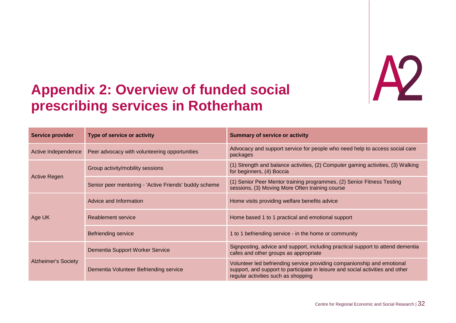

# **Appendix 2 prescribing services in Rotherham Example 2 Services in Rotherham**<br> **Example 2 Services in Rotherham**

<span id="page-40-0"></span>

| <b>Service provider</b>    | Type of service or activity                           | <b>Summary of service or activity</b>                                                                                                                                                            |
|----------------------------|-------------------------------------------------------|--------------------------------------------------------------------------------------------------------------------------------------------------------------------------------------------------|
| Active Independence        | Peer advocacy with volunteering opportunities         | Advocacy and support service for people who need help to access social care<br>packages                                                                                                          |
| <b>Active Regen</b>        | Group activity/mobility sessions                      | (1) Strength and balance activities, (2) Computer gaming activities, (3) Walking<br>for beginners, (4) Boccia                                                                                    |
|                            | Senior peer mentoring - 'Active Friends' buddy scheme | (1) Senior Peer Mentor training programmes, (2) Senior Fitness Testing<br>sessions, (3) Moving More Often training course                                                                        |
| Age UK                     | Advice and Information                                | Home visits providing welfare benefits advice                                                                                                                                                    |
|                            | Reablement service                                    | Home based 1 to 1 practical and emotional support                                                                                                                                                |
|                            | <b>Befriending service</b>                            | 1 to 1 befriending service - in the home or community                                                                                                                                            |
| <b>Alzheimer's Society</b> | Dementia Support Worker Service                       | Signposting, advice and support, including practical support to attend dementia<br>cafes and other groups as appropriate                                                                         |
|                            | Dementia Volunteer Befriending service                | Volunteer led befriending service providing companionship and emotional<br>support, and support to participate in leisure and social activities and other<br>regular activities such as shopping |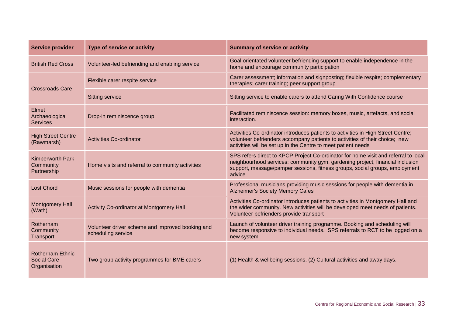| <b>Service provider</b>                                       | Type of service or activity                                            | <b>Summary of service or activity</b>                                                                                                                                                                                                                         |
|---------------------------------------------------------------|------------------------------------------------------------------------|---------------------------------------------------------------------------------------------------------------------------------------------------------------------------------------------------------------------------------------------------------------|
| <b>British Red Cross</b>                                      | Volunteer-led befriending and enabling service                         | Goal orientated volunteer befriending support to enable independence in the<br>home and encourage community participation                                                                                                                                     |
| <b>Crossroads Care</b>                                        | Flexible carer respite service                                         | Carer assessment; information and signposting; flexible respite; complementary<br>therapies; carer training; peer support group                                                                                                                               |
|                                                               | <b>Sitting service</b>                                                 | Sitting service to enable carers to attend Caring With Confidence course                                                                                                                                                                                      |
| Elmet<br>Archaeological<br><b>Services</b>                    | Drop-in reminiscence group                                             | Facilitated reminiscence session: memory boxes, music, artefacts, and social<br>interaction.                                                                                                                                                                  |
| <b>High Street Centre</b><br>(Rawmarsh)                       | <b>Activities Co-ordinator</b>                                         | Activities Co-ordinator introduces patients to activities in High Street Centre;<br>volunteer befrienders accompany patients to activities of their choice; new<br>activities will be set up in the Centre to meet patient needs                              |
| <b>Kimberworth Park</b><br>Community<br>Partnership           | Home visits and referral to community activities                       | SPS refers direct to KPCP Project Co-ordinator for home visit and referral to local<br>neighbourhood services: community gym, gardening project, financial inclusion<br>support, massage/pamper sessions, fitness groups, social groups, employment<br>advice |
| <b>Lost Chord</b>                                             | Music sessions for people with dementia                                | Professional musicians providing music sessions for people with dementia in<br><b>Alzheimer's Society Memory Cafes</b>                                                                                                                                        |
| <b>Montgomery Hall</b><br>(Wath)                              | Activity Co-ordinator at Montgomery Hall                               | Activities Co-ordinator introduces patients to activities in Montgomery Hall and<br>the wider community. New activities will be developed meet needs of patients.<br>Volunteer befrienders provide transport                                                  |
| Rotherham<br>Community<br>Transport                           | Volunteer driver scheme and improved booking and<br>scheduling service | Launch of volunteer driver training programme. Booking and scheduling will<br>become responsive to individual needs. SPS referrals to RCT to be logged on a<br>new system                                                                                     |
| <b>Rotherham Ethnic</b><br><b>Social Care</b><br>Organisation | Two group activity programmes for BME carers                           | (1) Health & wellbeing sessions, (2) Cultural activities and away days.                                                                                                                                                                                       |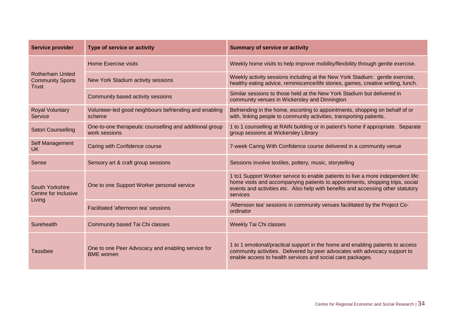| <b>Service provider</b>                                     | Type of service or activity                                              | <b>Summary of service or activity</b>                                                                                                                                                                                                                              |
|-------------------------------------------------------------|--------------------------------------------------------------------------|--------------------------------------------------------------------------------------------------------------------------------------------------------------------------------------------------------------------------------------------------------------------|
| <b>Rotherham United</b><br><b>Community Sports</b><br>Trust | <b>Home Exercise visits</b>                                              | Weekly home visits to help improve mobility/flexibility through gentle exercise.                                                                                                                                                                                   |
|                                                             | New York Stadium activity sessions                                       | Weekly activity sessions including at the New York Stadium: gentle exercise,<br>healthy eating advice, reminiscence/life stories, games, creative writing, lunch.                                                                                                  |
|                                                             | Community based activity sessions                                        | Similar sessions to those held at the New York Stadium but delivered in<br>community venues in Wickersley and Dinnington                                                                                                                                           |
| <b>Royal Voluntary</b><br>Service                           | Volunteer-led good neighbours befriending and enabling<br>scheme         | Befriending in the home, escorting to appointments, shopping on behalf of or<br>with, linking people to community activities, transporting patients.                                                                                                               |
| Satori Counselling                                          | One-to-one therapeutic counselling and additional group<br>work sessions | 1 to 1 counselling at RAIN building or in patient's home if appropriate. Separate<br>group sessions at Wickersley Library                                                                                                                                          |
| Self Management<br>UK.                                      | Caring with Confidence course                                            | 7-week Caring With Confidence course delivered in a community venue                                                                                                                                                                                                |
| Sense                                                       | Sensory art & craft group sessions                                       | Sessions involve textiles, pottery, music, storytelling                                                                                                                                                                                                            |
| South Yorkshire<br>Centre for Inclusive<br>Living           | One to one Support Worker personal service                               | 1 to 1 Support Worker service to enable patients to live a more independent life:<br>home visits and accompanying patients to appointments, shopping trips, social<br>events and activities etc. Also help with benefits and accessing other statutory<br>services |
|                                                             | Facilitated 'afternoon tea' sessions                                     | 'Afternoon tea' sessions in community venues facilitated by the Project Co-<br>ordinator                                                                                                                                                                           |
| Surehealth                                                  | Community based Tai Chi classes                                          | <b>Weekly Tai Chi classes</b>                                                                                                                                                                                                                                      |
| <b>Tassibee</b>                                             | One to one Peer Advocacy and enabling service for<br><b>BME</b> women    | 1 to 1 emotional/practical support in the home and enabling patients to access<br>community activities. Delivered by peer advocates with advocacy support to<br>enable access to health services and social care packages.                                         |